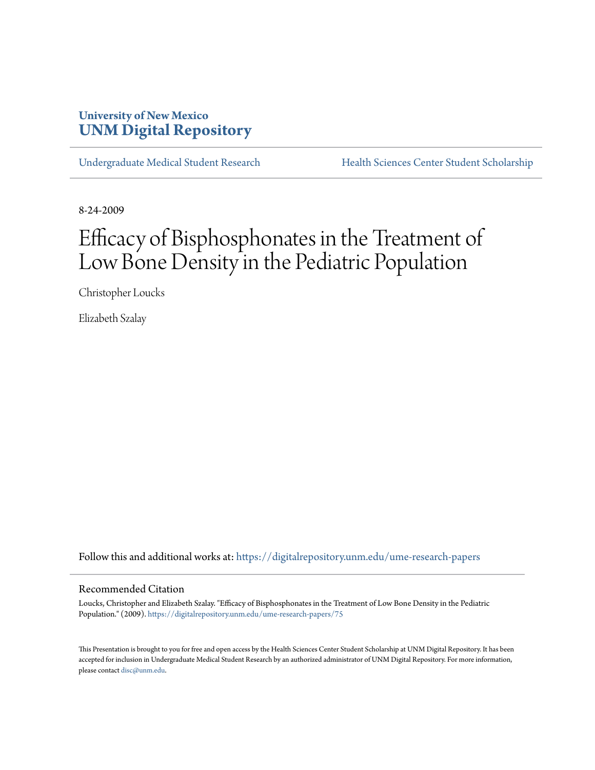# **University of New Mexico [UNM Digital Repository](https://digitalrepository.unm.edu?utm_source=digitalrepository.unm.edu%2Fume-research-papers%2F75&utm_medium=PDF&utm_campaign=PDFCoverPages)**

[Undergraduate Medical Student Research](https://digitalrepository.unm.edu/ume-research-papers?utm_source=digitalrepository.unm.edu%2Fume-research-papers%2F75&utm_medium=PDF&utm_campaign=PDFCoverPages) [Health Sciences Center Student Scholarship](https://digitalrepository.unm.edu/hsc-students?utm_source=digitalrepository.unm.edu%2Fume-research-papers%2F75&utm_medium=PDF&utm_campaign=PDFCoverPages)

8-24-2009

# Efficacy of Bisphosphonates in the Treatment of Low Bone Density in the Pediatric Population

Christopher Loucks

Elizabeth Szalay

Follow this and additional works at: [https://digitalrepository.unm.edu/ume-research-papers](https://digitalrepository.unm.edu/ume-research-papers?utm_source=digitalrepository.unm.edu%2Fume-research-papers%2F75&utm_medium=PDF&utm_campaign=PDFCoverPages)

#### Recommended Citation

Loucks, Christopher and Elizabeth Szalay. "Efficacy of Bisphosphonates in the Treatment of Low Bone Density in the Pediatric Population." (2009). [https://digitalrepository.unm.edu/ume-research-papers/75](https://digitalrepository.unm.edu/ume-research-papers/75?utm_source=digitalrepository.unm.edu%2Fume-research-papers%2F75&utm_medium=PDF&utm_campaign=PDFCoverPages)

This Presentation is brought to you for free and open access by the Health Sciences Center Student Scholarship at UNM Digital Repository. It has been accepted for inclusion in Undergraduate Medical Student Research by an authorized administrator of UNM Digital Repository. For more information, please contact [disc@unm.edu.](mailto:disc@unm.edu)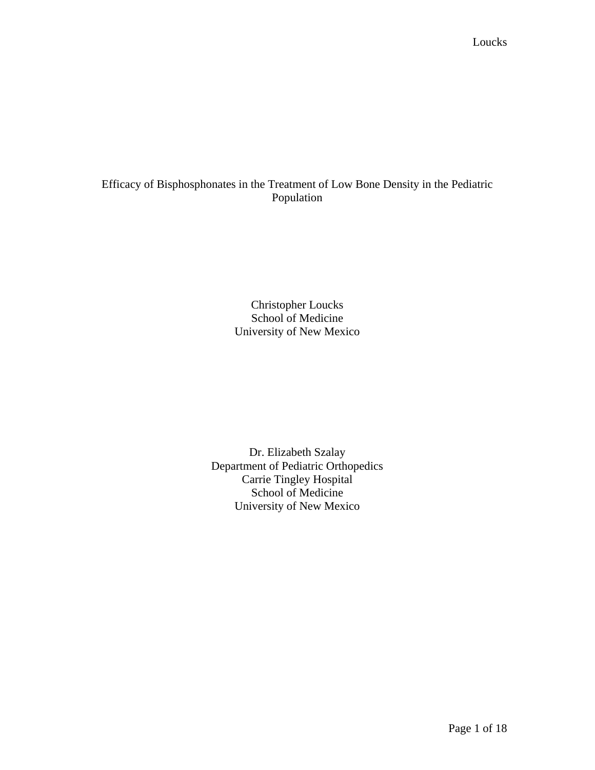# Efficacy of Bisphosphonates in the Treatment of Low Bone Density in the Pediatric Population

Christopher Loucks School of Medicine University of New Mexico

Dr. Elizabeth Szalay Department of Pediatric Orthopedics Carrie Tingley Hospital School of Medicine University of New Mexico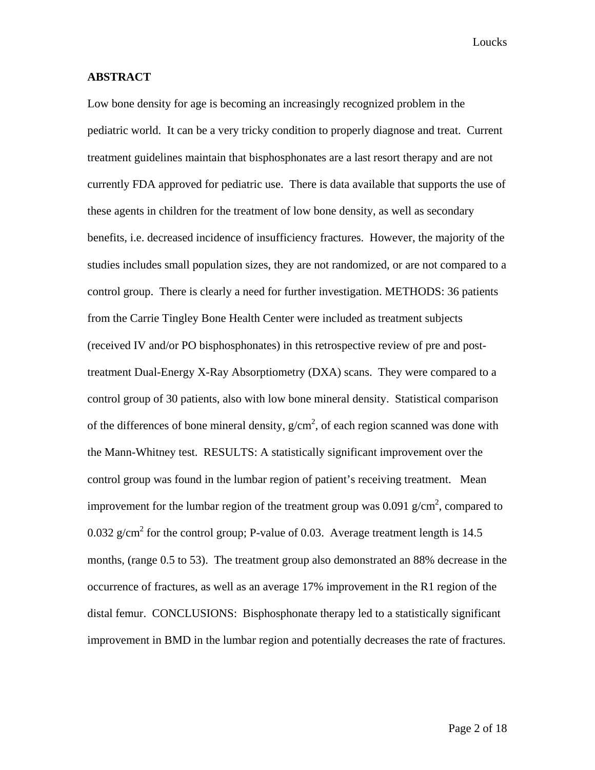#### **ABSTRACT**

Low bone density for age is becoming an increasingly recognized problem in the pediatric world. It can be a very tricky condition to properly diagnose and treat. Current treatment guidelines maintain that bisphosphonates are a last resort therapy and are not currently FDA approved for pediatric use. There is data available that supports the use of these agents in children for the treatment of low bone density, as well as secondary benefits, i.e. decreased incidence of insufficiency fractures. However, the majority of the studies includes small population sizes, they are not randomized, or are not compared to a control group. There is clearly a need for further investigation. METHODS: 36 patients from the Carrie Tingley Bone Health Center were included as treatment subjects (received IV and/or PO bisphosphonates) in this retrospective review of pre and posttreatment Dual-Energy X-Ray Absorptiometry (DXA) scans. They were compared to a control group of 30 patients, also with low bone mineral density. Statistical comparison of the differences of bone mineral density,  $g/cm^2$ , of each region scanned was done with the Mann-Whitney test. RESULTS: A statistically significant improvement over the control group was found in the lumbar region of patient's receiving treatment. Mean improvement for the lumbar region of the treatment group was 0.091  $g/cm<sup>2</sup>$ , compared to 0.032 g/cm<sup>2</sup> for the control group; P-value of 0.03. Average treatment length is 14.5 months, (range 0.5 to 53). The treatment group also demonstrated an 88% decrease in the occurrence of fractures, as well as an average 17% improvement in the R1 region of the distal femur. CONCLUSIONS: Bisphosphonate therapy led to a statistically significant improvement in BMD in the lumbar region and potentially decreases the rate of fractures.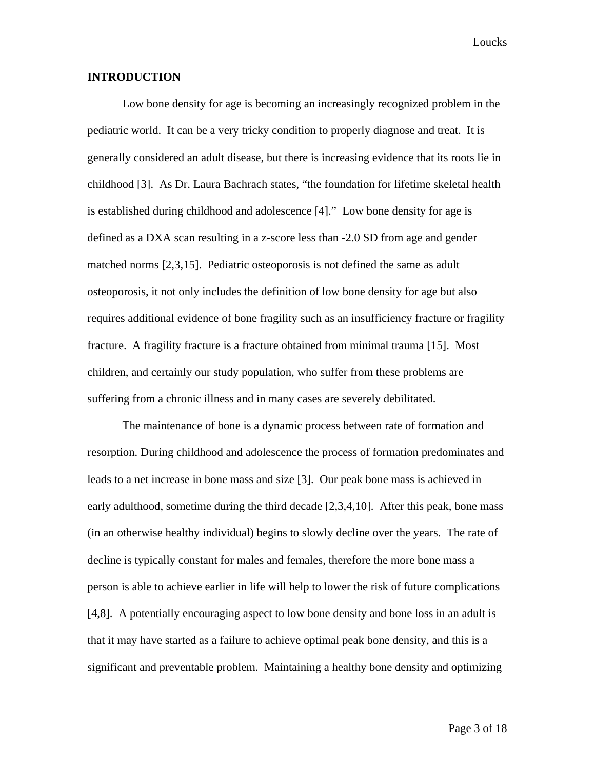#### **INTRODUCTION**

 Low bone density for age is becoming an increasingly recognized problem in the pediatric world. It can be a very tricky condition to properly diagnose and treat. It is generally considered an adult disease, but there is increasing evidence that its roots lie in childhood [3]. As Dr. Laura Bachrach states, "the foundation for lifetime skeletal health is established during childhood and adolescence [4]." Low bone density for age is defined as a DXA scan resulting in a z-score less than -2.0 SD from age and gender matched norms [2,3,15]. Pediatric osteoporosis is not defined the same as adult osteoporosis, it not only includes the definition of low bone density for age but also requires additional evidence of bone fragility such as an insufficiency fracture or fragility fracture. A fragility fracture is a fracture obtained from minimal trauma [15]. Most children, and certainly our study population, who suffer from these problems are suffering from a chronic illness and in many cases are severely debilitated.

The maintenance of bone is a dynamic process between rate of formation and resorption. During childhood and adolescence the process of formation predominates and leads to a net increase in bone mass and size [3]. Our peak bone mass is achieved in early adulthood, sometime during the third decade [2,3,4,10]. After this peak, bone mass (in an otherwise healthy individual) begins to slowly decline over the years. The rate of decline is typically constant for males and females, therefore the more bone mass a person is able to achieve earlier in life will help to lower the risk of future complications [4,8]. A potentially encouraging aspect to low bone density and bone loss in an adult is that it may have started as a failure to achieve optimal peak bone density, and this is a significant and preventable problem. Maintaining a healthy bone density and optimizing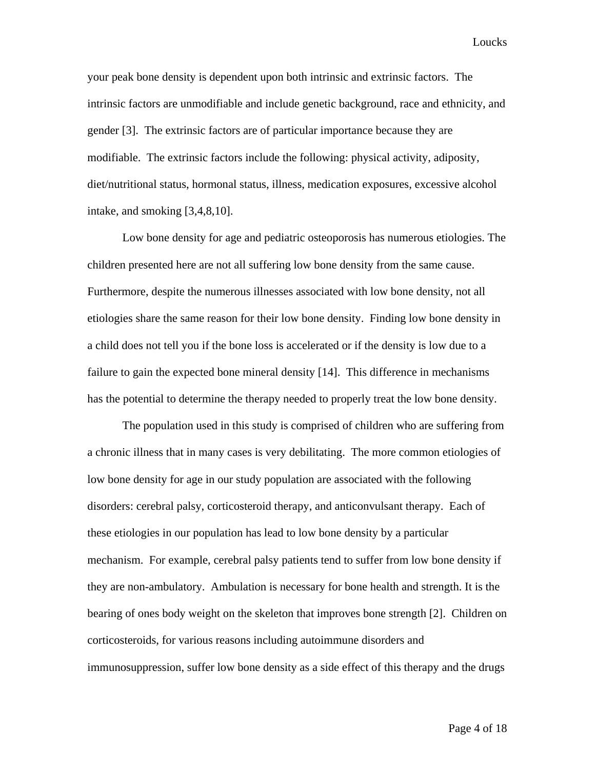your peak bone density is dependent upon both intrinsic and extrinsic factors. The intrinsic factors are unmodifiable and include genetic background, race and ethnicity, and gender [3]. The extrinsic factors are of particular importance because they are modifiable. The extrinsic factors include the following: physical activity, adiposity, diet/nutritional status, hormonal status, illness, medication exposures, excessive alcohol intake, and smoking [3,4,8,10].

Low bone density for age and pediatric osteoporosis has numerous etiologies. The children presented here are not all suffering low bone density from the same cause. Furthermore, despite the numerous illnesses associated with low bone density, not all etiologies share the same reason for their low bone density. Finding low bone density in a child does not tell you if the bone loss is accelerated or if the density is low due to a failure to gain the expected bone mineral density [14]. This difference in mechanisms has the potential to determine the therapy needed to properly treat the low bone density.

The population used in this study is comprised of children who are suffering from a chronic illness that in many cases is very debilitating. The more common etiologies of low bone density for age in our study population are associated with the following disorders: cerebral palsy, corticosteroid therapy, and anticonvulsant therapy. Each of these etiologies in our population has lead to low bone density by a particular mechanism. For example, cerebral palsy patients tend to suffer from low bone density if they are non-ambulatory. Ambulation is necessary for bone health and strength. It is the bearing of ones body weight on the skeleton that improves bone strength [2]. Children on corticosteroids, for various reasons including autoimmune disorders and immunosuppression, suffer low bone density as a side effect of this therapy and the drugs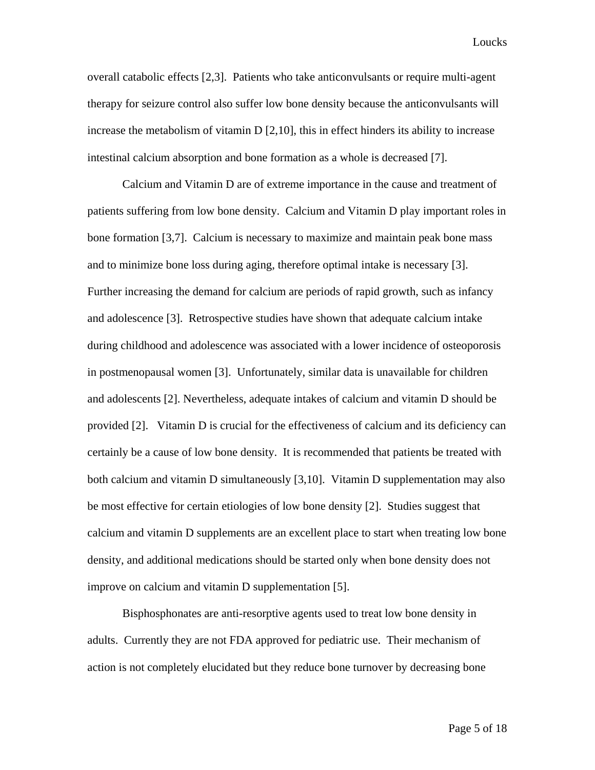overall catabolic effects [2,3]. Patients who take anticonvulsants or require multi-agent therapy for seizure control also suffer low bone density because the anticonvulsants will increase the metabolism of vitamin D [2,10], this in effect hinders its ability to increase intestinal calcium absorption and bone formation as a whole is decreased [7].

Calcium and Vitamin D are of extreme importance in the cause and treatment of patients suffering from low bone density. Calcium and Vitamin D play important roles in bone formation [3,7]. Calcium is necessary to maximize and maintain peak bone mass and to minimize bone loss during aging, therefore optimal intake is necessary [3]. Further increasing the demand for calcium are periods of rapid growth, such as infancy and adolescence [3]. Retrospective studies have shown that adequate calcium intake during childhood and adolescence was associated with a lower incidence of osteoporosis in postmenopausal women [3]. Unfortunately, similar data is unavailable for children and adolescents [2]. Nevertheless, adequate intakes of calcium and vitamin D should be provided [2]. Vitamin D is crucial for the effectiveness of calcium and its deficiency can certainly be a cause of low bone density. It is recommended that patients be treated with both calcium and vitamin D simultaneously [3,10]. Vitamin D supplementation may also be most effective for certain etiologies of low bone density [2]. Studies suggest that calcium and vitamin D supplements are an excellent place to start when treating low bone density, and additional medications should be started only when bone density does not improve on calcium and vitamin D supplementation [5].

Bisphosphonates are anti-resorptive agents used to treat low bone density in adults. Currently they are not FDA approved for pediatric use. Their mechanism of action is not completely elucidated but they reduce bone turnover by decreasing bone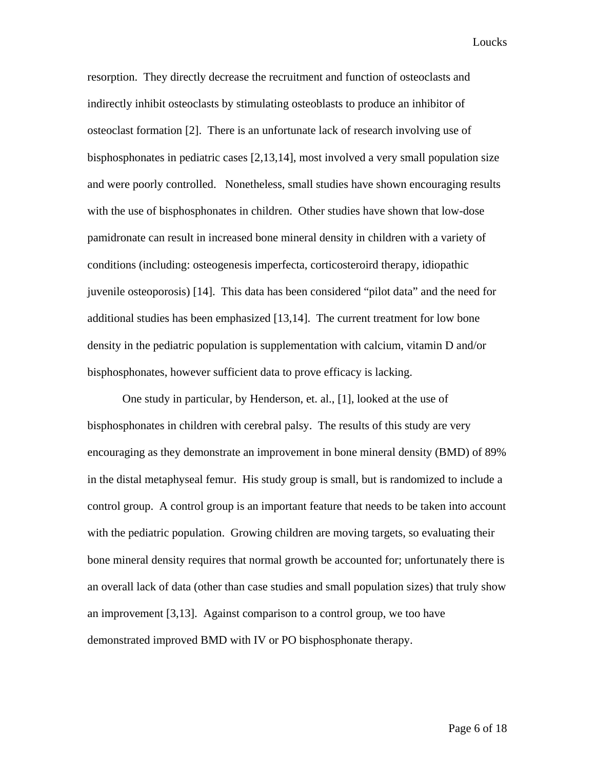resorption. They directly decrease the recruitment and function of osteoclasts and indirectly inhibit osteoclasts by stimulating osteoblasts to produce an inhibitor of osteoclast formation [2]. There is an unfortunate lack of research involving use of bisphosphonates in pediatric cases [2,13,14], most involved a very small population size and were poorly controlled. Nonetheless, small studies have shown encouraging results with the use of bisphosphonates in children. Other studies have shown that low-dose pamidronate can result in increased bone mineral density in children with a variety of conditions (including: osteogenesis imperfecta, corticosteroird therapy, idiopathic juvenile osteoporosis) [14]. This data has been considered "pilot data" and the need for additional studies has been emphasized [13,14]. The current treatment for low bone density in the pediatric population is supplementation with calcium, vitamin D and/or bisphosphonates, however sufficient data to prove efficacy is lacking.

One study in particular, by Henderson, et. al., [1], looked at the use of bisphosphonates in children with cerebral palsy. The results of this study are very encouraging as they demonstrate an improvement in bone mineral density (BMD) of 89% in the distal metaphyseal femur. His study group is small, but is randomized to include a control group. A control group is an important feature that needs to be taken into account with the pediatric population. Growing children are moving targets, so evaluating their bone mineral density requires that normal growth be accounted for; unfortunately there is an overall lack of data (other than case studies and small population sizes) that truly show an improvement [3,13]. Against comparison to a control group, we too have demonstrated improved BMD with IV or PO bisphosphonate therapy.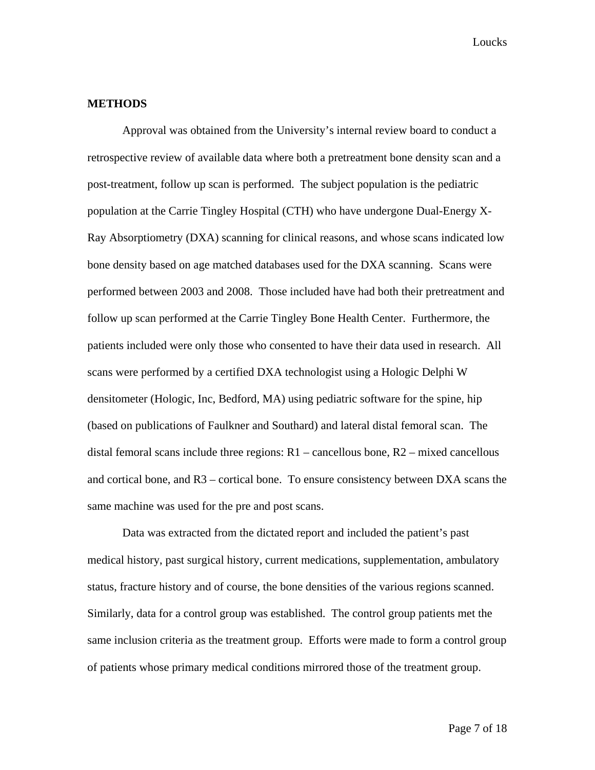#### **METHODS**

Approval was obtained from the University's internal review board to conduct a retrospective review of available data where both a pretreatment bone density scan and a post-treatment, follow up scan is performed. The subject population is the pediatric population at the Carrie Tingley Hospital (CTH) who have undergone Dual-Energy X-Ray Absorptiometry (DXA) scanning for clinical reasons, and whose scans indicated low bone density based on age matched databases used for the DXA scanning. Scans were performed between 2003 and 2008. Those included have had both their pretreatment and follow up scan performed at the Carrie Tingley Bone Health Center. Furthermore, the patients included were only those who consented to have their data used in research. All scans were performed by a certified DXA technologist using a Hologic Delphi W densitometer (Hologic, Inc, Bedford, MA) using pediatric software for the spine, hip (based on publications of Faulkner and Southard) and lateral distal femoral scan. The distal femoral scans include three regions:  $R1$  – cancellous bone,  $R2$  – mixed cancellous and cortical bone, and R3 – cortical bone. To ensure consistency between DXA scans the same machine was used for the pre and post scans.

 Data was extracted from the dictated report and included the patient's past medical history, past surgical history, current medications, supplementation, ambulatory status, fracture history and of course, the bone densities of the various regions scanned. Similarly, data for a control group was established. The control group patients met the same inclusion criteria as the treatment group. Efforts were made to form a control group of patients whose primary medical conditions mirrored those of the treatment group.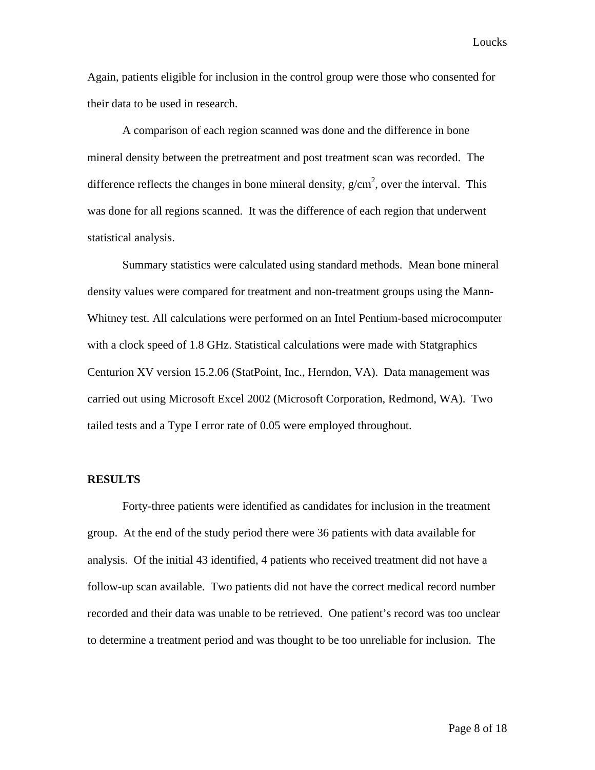Again, patients eligible for inclusion in the control group were those who consented for their data to be used in research.

 A comparison of each region scanned was done and the difference in bone mineral density between the pretreatment and post treatment scan was recorded. The difference reflects the changes in bone mineral density,  $g/cm^2$ , over the interval. This was done for all regions scanned. It was the difference of each region that underwent statistical analysis.

 Summary statistics were calculated using standard methods. Mean bone mineral density values were compared for treatment and non-treatment groups using the Mann-Whitney test. All calculations were performed on an Intel Pentium-based microcomputer with a clock speed of 1.8 GHz. Statistical calculations were made with Statgraphics Centurion XV version 15.2.06 (StatPoint, Inc., Herndon, VA). Data management was carried out using Microsoft Excel 2002 (Microsoft Corporation, Redmond, WA). Two tailed tests and a Type I error rate of 0.05 were employed throughout.

#### **RESULTS**

 Forty-three patients were identified as candidates for inclusion in the treatment group. At the end of the study period there were 36 patients with data available for analysis. Of the initial 43 identified, 4 patients who received treatment did not have a follow-up scan available. Two patients did not have the correct medical record number recorded and their data was unable to be retrieved. One patient's record was too unclear to determine a treatment period and was thought to be too unreliable for inclusion. The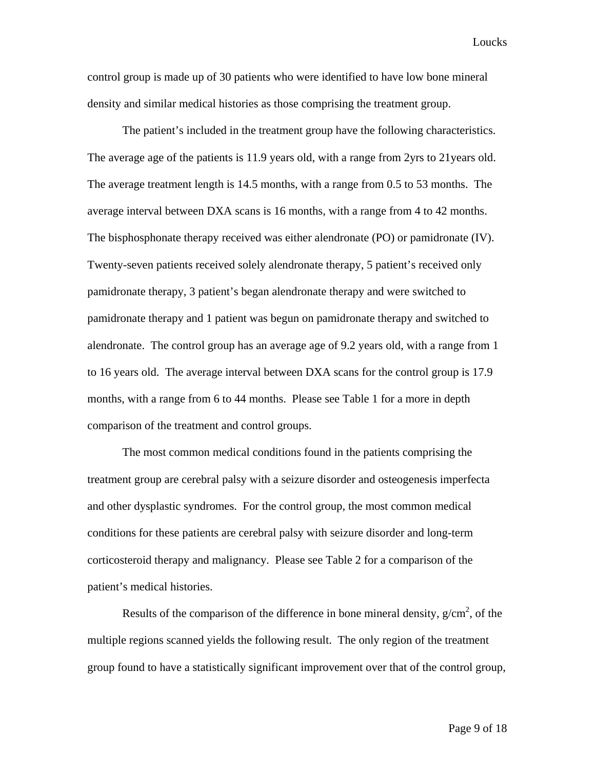control group is made up of 30 patients who were identified to have low bone mineral density and similar medical histories as those comprising the treatment group.

 The patient's included in the treatment group have the following characteristics. The average age of the patients is 11.9 years old, with a range from 2yrs to 21years old. The average treatment length is 14.5 months, with a range from 0.5 to 53 months. The average interval between DXA scans is 16 months, with a range from 4 to 42 months. The bisphosphonate therapy received was either alendronate (PO) or pamidronate (IV). Twenty-seven patients received solely alendronate therapy, 5 patient's received only pamidronate therapy, 3 patient's began alendronate therapy and were switched to pamidronate therapy and 1 patient was begun on pamidronate therapy and switched to alendronate. The control group has an average age of 9.2 years old, with a range from 1 to 16 years old. The average interval between DXA scans for the control group is 17.9 months, with a range from 6 to 44 months. Please see Table 1 for a more in depth comparison of the treatment and control groups.

The most common medical conditions found in the patients comprising the treatment group are cerebral palsy with a seizure disorder and osteogenesis imperfecta and other dysplastic syndromes. For the control group, the most common medical conditions for these patients are cerebral palsy with seizure disorder and long-term corticosteroid therapy and malignancy. Please see Table 2 for a comparison of the patient's medical histories.

Results of the comparison of the difference in bone mineral density,  $g/cm^2$ , of the multiple regions scanned yields the following result. The only region of the treatment group found to have a statistically significant improvement over that of the control group,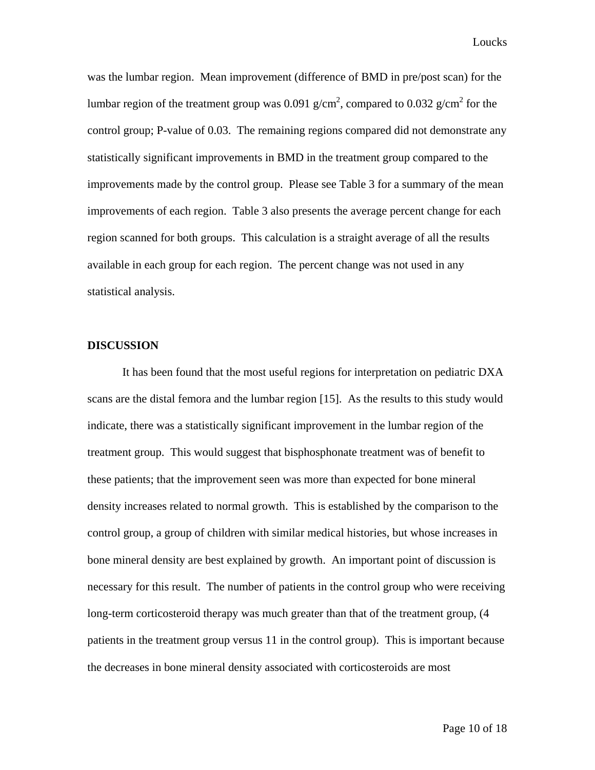was the lumbar region. Mean improvement (difference of BMD in pre/post scan) for the lumbar region of the treatment group was 0.091  $g/cm^2$ , compared to 0.032  $g/cm^2$  for the control group; P-value of 0.03. The remaining regions compared did not demonstrate any statistically significant improvements in BMD in the treatment group compared to the improvements made by the control group. Please see Table 3 for a summary of the mean improvements of each region. Table 3 also presents the average percent change for each region scanned for both groups. This calculation is a straight average of all the results available in each group for each region. The percent change was not used in any statistical analysis.

#### **DISCUSSION**

It has been found that the most useful regions for interpretation on pediatric DXA scans are the distal femora and the lumbar region [15]. As the results to this study would indicate, there was a statistically significant improvement in the lumbar region of the treatment group. This would suggest that bisphosphonate treatment was of benefit to these patients; that the improvement seen was more than expected for bone mineral density increases related to normal growth. This is established by the comparison to the control group, a group of children with similar medical histories, but whose increases in bone mineral density are best explained by growth. An important point of discussion is necessary for this result. The number of patients in the control group who were receiving long-term corticosteroid therapy was much greater than that of the treatment group, (4 patients in the treatment group versus 11 in the control group). This is important because the decreases in bone mineral density associated with corticosteroids are most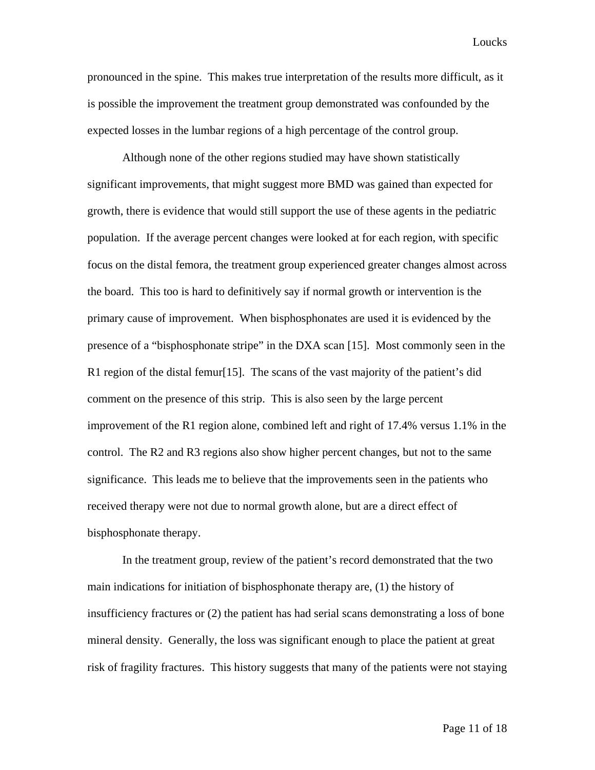pronounced in the spine. This makes true interpretation of the results more difficult, as it is possible the improvement the treatment group demonstrated was confounded by the expected losses in the lumbar regions of a high percentage of the control group.

 Although none of the other regions studied may have shown statistically significant improvements, that might suggest more BMD was gained than expected for growth, there is evidence that would still support the use of these agents in the pediatric population. If the average percent changes were looked at for each region, with specific focus on the distal femora, the treatment group experienced greater changes almost across the board. This too is hard to definitively say if normal growth or intervention is the primary cause of improvement. When bisphosphonates are used it is evidenced by the presence of a "bisphosphonate stripe" in the DXA scan [15]. Most commonly seen in the R1 region of the distal femur[15]. The scans of the vast majority of the patient's did comment on the presence of this strip. This is also seen by the large percent improvement of the R1 region alone, combined left and right of 17.4% versus 1.1% in the control. The R2 and R3 regions also show higher percent changes, but not to the same significance. This leads me to believe that the improvements seen in the patients who received therapy were not due to normal growth alone, but are a direct effect of bisphosphonate therapy.

 In the treatment group, review of the patient's record demonstrated that the two main indications for initiation of bisphosphonate therapy are, (1) the history of insufficiency fractures or (2) the patient has had serial scans demonstrating a loss of bone mineral density. Generally, the loss was significant enough to place the patient at great risk of fragility fractures. This history suggests that many of the patients were not staying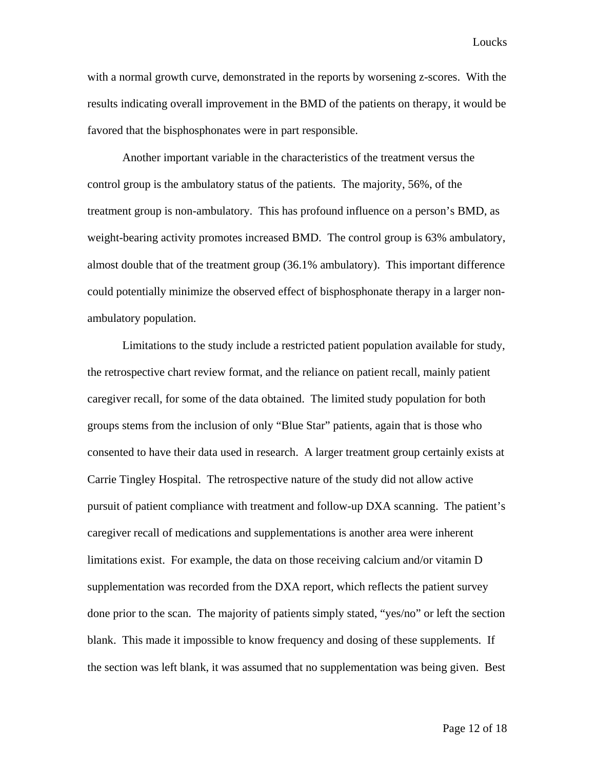with a normal growth curve, demonstrated in the reports by worsening z-scores. With the results indicating overall improvement in the BMD of the patients on therapy, it would be favored that the bisphosphonates were in part responsible.

 Another important variable in the characteristics of the treatment versus the control group is the ambulatory status of the patients. The majority, 56%, of the treatment group is non-ambulatory. This has profound influence on a person's BMD, as weight-bearing activity promotes increased BMD. The control group is 63% ambulatory, almost double that of the treatment group (36.1% ambulatory). This important difference could potentially minimize the observed effect of bisphosphonate therapy in a larger nonambulatory population.

 Limitations to the study include a restricted patient population available for study, the retrospective chart review format, and the reliance on patient recall, mainly patient caregiver recall, for some of the data obtained. The limited study population for both groups stems from the inclusion of only "Blue Star" patients, again that is those who consented to have their data used in research. A larger treatment group certainly exists at Carrie Tingley Hospital. The retrospective nature of the study did not allow active pursuit of patient compliance with treatment and follow-up DXA scanning. The patient's caregiver recall of medications and supplementations is another area were inherent limitations exist. For example, the data on those receiving calcium and/or vitamin D supplementation was recorded from the DXA report, which reflects the patient survey done prior to the scan. The majority of patients simply stated, "yes/no" or left the section blank. This made it impossible to know frequency and dosing of these supplements. If the section was left blank, it was assumed that no supplementation was being given. Best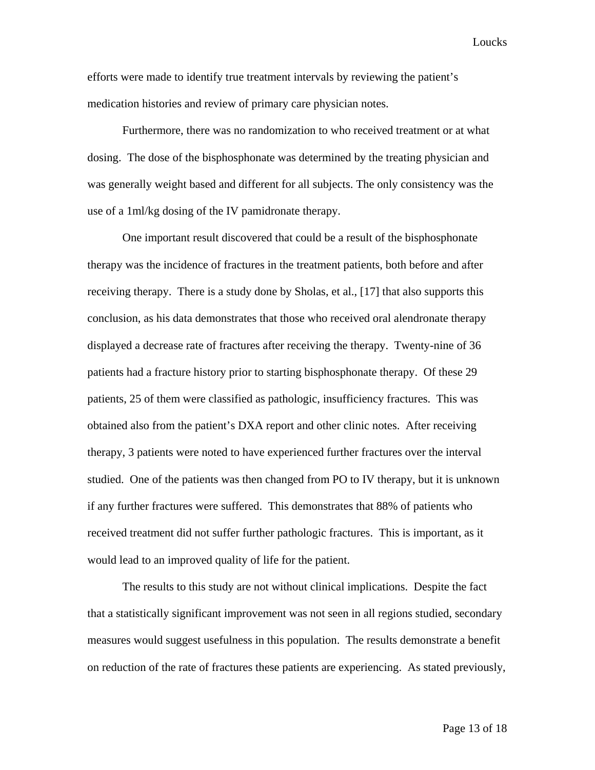efforts were made to identify true treatment intervals by reviewing the patient's medication histories and review of primary care physician notes.

Furthermore, there was no randomization to who received treatment or at what dosing. The dose of the bisphosphonate was determined by the treating physician and was generally weight based and different for all subjects. The only consistency was the use of a 1ml/kg dosing of the IV pamidronate therapy.

One important result discovered that could be a result of the bisphosphonate therapy was the incidence of fractures in the treatment patients, both before and after receiving therapy. There is a study done by Sholas, et al., [17] that also supports this conclusion, as his data demonstrates that those who received oral alendronate therapy displayed a decrease rate of fractures after receiving the therapy. Twenty-nine of 36 patients had a fracture history prior to starting bisphosphonate therapy. Of these 29 patients, 25 of them were classified as pathologic, insufficiency fractures. This was obtained also from the patient's DXA report and other clinic notes. After receiving therapy, 3 patients were noted to have experienced further fractures over the interval studied. One of the patients was then changed from PO to IV therapy, but it is unknown if any further fractures were suffered. This demonstrates that 88% of patients who received treatment did not suffer further pathologic fractures. This is important, as it would lead to an improved quality of life for the patient.

The results to this study are not without clinical implications. Despite the fact that a statistically significant improvement was not seen in all regions studied, secondary measures would suggest usefulness in this population. The results demonstrate a benefit on reduction of the rate of fractures these patients are experiencing. As stated previously,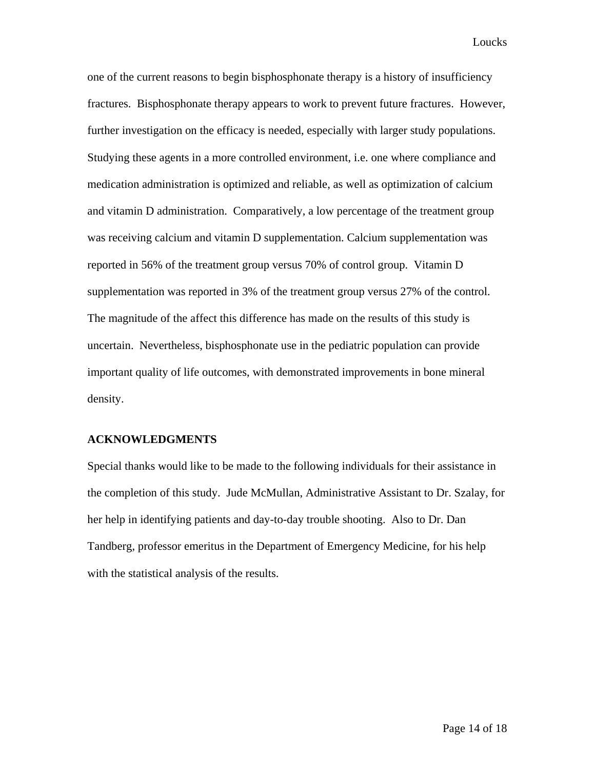one of the current reasons to begin bisphosphonate therapy is a history of insufficiency fractures. Bisphosphonate therapy appears to work to prevent future fractures. However, further investigation on the efficacy is needed, especially with larger study populations. Studying these agents in a more controlled environment, i.e. one where compliance and medication administration is optimized and reliable, as well as optimization of calcium and vitamin D administration. Comparatively, a low percentage of the treatment group was receiving calcium and vitamin D supplementation. Calcium supplementation was reported in 56% of the treatment group versus 70% of control group. Vitamin D supplementation was reported in 3% of the treatment group versus 27% of the control. The magnitude of the affect this difference has made on the results of this study is uncertain. Nevertheless, bisphosphonate use in the pediatric population can provide important quality of life outcomes, with demonstrated improvements in bone mineral density.

#### **ACKNOWLEDGMENTS**

Special thanks would like to be made to the following individuals for their assistance in the completion of this study. Jude McMullan, Administrative Assistant to Dr. Szalay, for her help in identifying patients and day-to-day trouble shooting. Also to Dr. Dan Tandberg, professor emeritus in the Department of Emergency Medicine, for his help with the statistical analysis of the results.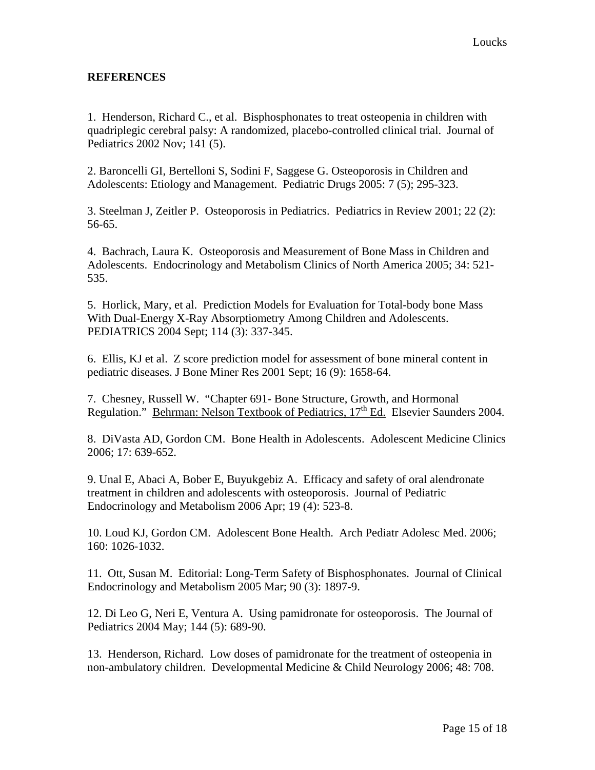## **REFERENCES**

1. Henderson, Richard C., et al. Bisphosphonates to treat osteopenia in children with quadriplegic cerebral palsy: A randomized, placebo-controlled clinical trial. Journal of Pediatrics 2002 Nov; 141 (5).

2. Baroncelli GI, Bertelloni S, Sodini F, Saggese G. Osteoporosis in Children and Adolescents: Etiology and Management. Pediatric Drugs 2005: 7 (5); 295-323.

3. Steelman J, Zeitler P. Osteoporosis in Pediatrics. Pediatrics in Review 2001; 22 (2): 56-65.

4. Bachrach, Laura K. Osteoporosis and Measurement of Bone Mass in Children and Adolescents. Endocrinology and Metabolism Clinics of North America 2005; 34: 521- 535.

5. Horlick, Mary, et al. Prediction Models for Evaluation for Total-body bone Mass With Dual-Energy X-Ray Absorptiometry Among Children and Adolescents. PEDIATRICS 2004 Sept; 114 (3): 337-345.

6. Ellis, KJ et al. Z score prediction model for assessment of bone mineral content in pediatric diseases. J Bone Miner Res 2001 Sept; 16 (9): 1658-64.

7. Chesney, Russell W. "Chapter 691- Bone Structure, Growth, and Hormonal Regulation." Behrman: Nelson Textbook of Pediatrics,  $17<sup>th</sup>$  Ed. Elsevier Saunders 2004.

8. DiVasta AD, Gordon CM. Bone Health in Adolescents. Adolescent Medicine Clinics 2006; 17: 639-652.

9. Unal E, Abaci A, Bober E, Buyukgebiz A. Efficacy and safety of oral alendronate treatment in children and adolescents with osteoporosis. Journal of Pediatric Endocrinology and Metabolism 2006 Apr; 19 (4): 523-8.

10. Loud KJ, Gordon CM. Adolescent Bone Health. Arch Pediatr Adolesc Med. 2006; 160: 1026-1032.

11. Ott, Susan M. Editorial: Long-Term Safety of Bisphosphonates. Journal of Clinical Endocrinology and Metabolism 2005 Mar; 90 (3): 1897-9.

12. Di Leo G, Neri E, Ventura A. Using pamidronate for osteoporosis. The Journal of Pediatrics 2004 May; 144 (5): 689-90.

13. Henderson, Richard. Low doses of pamidronate for the treatment of osteopenia in non-ambulatory children. Developmental Medicine & Child Neurology 2006; 48: 708.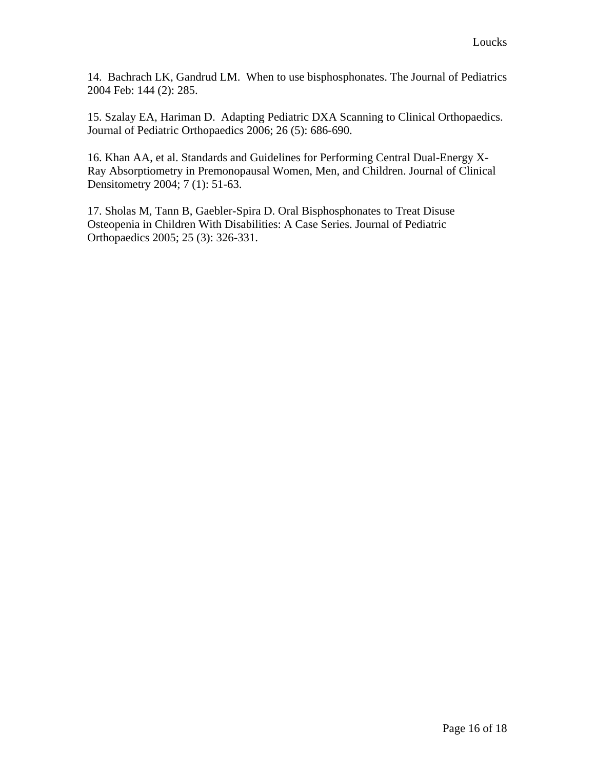14. Bachrach LK, Gandrud LM. When to use bisphosphonates. The Journal of Pediatrics 2004 Feb: 144 (2): 285.

15. Szalay EA, Hariman D. Adapting Pediatric DXA Scanning to Clinical Orthopaedics. Journal of Pediatric Orthopaedics 2006; 26 (5): 686-690.

16. Khan AA, et al. Standards and Guidelines for Performing Central Dual-Energy X-Ray Absorptiometry in Premonopausal Women, Men, and Children. Journal of Clinical Densitometry 2004; 7 (1): 51-63.

17. Sholas M, Tann B, Gaebler-Spira D. Oral Bisphosphonates to Treat Disuse Osteopenia in Children With Disabilities: A Case Series. Journal of Pediatric Orthopaedics 2005; 25 (3): 326-331.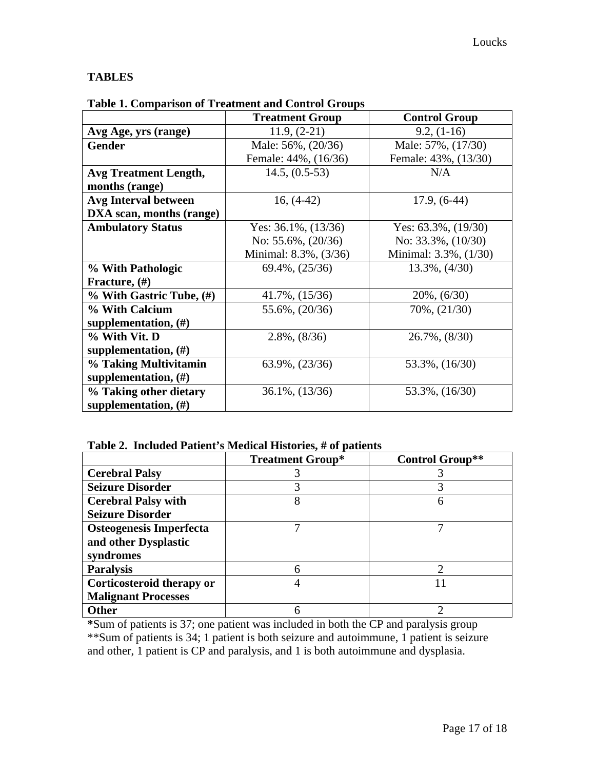# **TABLES**

|                               | <b>Treatment Group</b>    | <b>Control Group</b>      |  |  |
|-------------------------------|---------------------------|---------------------------|--|--|
| Avg Age, yrs (range)          | $11.9, (2-21)$            | $9.2, (1-16)$             |  |  |
| Gender                        | Male: 56%, (20/36)        | Male: 57%, (17/30)        |  |  |
|                               | Female: 44%, (16/36)      | Female: 43%, (13/30)      |  |  |
| <b>Avg Treatment Length,</b>  | $14.5, (0.5-53)$          | N/A                       |  |  |
| months (range)                |                           |                           |  |  |
| <b>Avg Interval between</b>   | $16, (4-42)$              | $17.9, (6-44)$            |  |  |
| DXA scan, months (range)      |                           |                           |  |  |
| <b>Ambulatory Status</b>      | Yes: $36.1\%$ , $(13/36)$ | Yes: $63.3\%$ , $(19/30)$ |  |  |
|                               | No: $55.6\%$ , $(20/36)$  | No: $33.3\%$ , $(10/30)$  |  |  |
|                               | Minimal: 8.3%, (3/36)     | Minimal: 3.3%, (1/30)     |  |  |
| % With Pathologic             | $69.4\%, (25/36)$         | $13.3\%, (4/30)$          |  |  |
| Fracture, (#)                 |                           |                           |  |  |
| $%$ With Gastric Tube, $(\#)$ | 41.7%, $(15/36)$          | $20\%, (6/30)$            |  |  |
| % With Calcium                | 55.6%, (20/36)            | 70%, $(21/30)$            |  |  |
| supplementation, $(\#)$       |                           |                           |  |  |
| % With Vit. D                 | $2.8\%, (8/36)$           | $26.7\%, (8/30)$          |  |  |
| supplementation, $(\#)$       |                           |                           |  |  |
| % Taking Multivitamin         | $63.9\%, (23/36)$         | 53.3%, (16/30)            |  |  |
| supplementation, $(\#)$       |                           |                           |  |  |
| % Taking other dietary        | 36.1%, (13/36)            | 53.3%, (16/30)            |  |  |
| supplementation, $(\#)$       |                           |                           |  |  |

### **Table 1. Comparison of Treatment and Control Groups**

# **Table 2. Included Patient's Medical Histories, # of patients**

|                            | <b>Treatment Group*</b> | Control Group** |  |  |
|----------------------------|-------------------------|-----------------|--|--|
| <b>Cerebral Palsy</b>      |                         |                 |  |  |
| <b>Seizure Disorder</b>    |                         |                 |  |  |
| <b>Cerebral Palsy with</b> |                         | h               |  |  |
| <b>Seizure Disorder</b>    |                         |                 |  |  |
| Osteogenesis Imperfecta    |                         |                 |  |  |
| and other Dysplastic       |                         |                 |  |  |
| syndromes                  |                         |                 |  |  |
| <b>Paralysis</b>           |                         |                 |  |  |
| Corticosteroid therapy or  |                         |                 |  |  |
| <b>Malignant Processes</b> |                         |                 |  |  |
| <b>Other</b>               |                         |                 |  |  |

**\***Sum of patients is 37; one patient was included in both the CP and paralysis group \*\*Sum of patients is 34; 1 patient is both seizure and autoimmune, 1 patient is seizure and other, 1 patient is CP and paralysis, and 1 is both autoimmune and dysplasia.